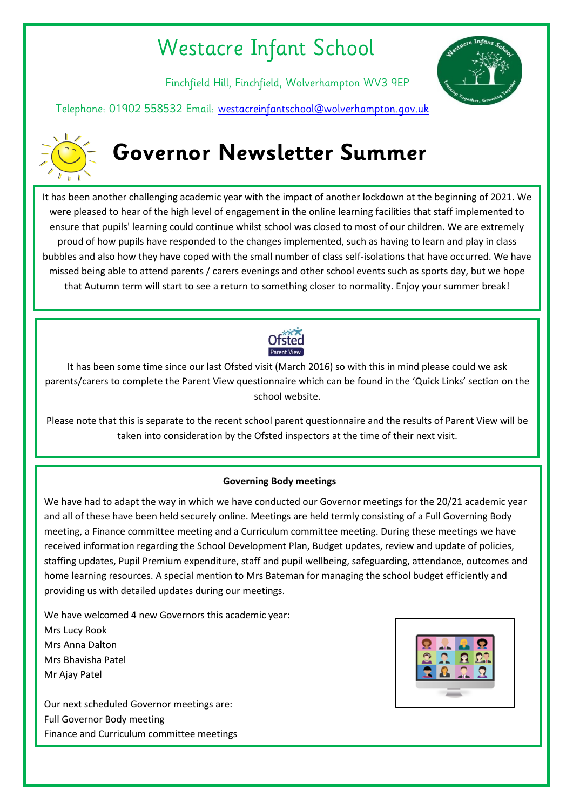## Westacre Infant School

Finchfield Hill, Finchfield, Wolverhampton WV3 9EP



Telephone: 01902 558532 Email: [westacreinfantschool@wolverhampton.gov.uk](mailto:westacreinfantschool@wolverhampton.gov.uk)



# **Governor Newsletter Summer**

**IF IT SECTS**<br>It has been another challenging academic year with the impact of another lockdown at the beginning of 2021. We were pleased to hear of the high level of engagement in the online learning facilities that staff implemented to ensure that pupils' learning could continue whilst school was closed to most of our children. We are extremely proud of how pupils have responded to the changes implemented, such as having to learn and play in class bubbles and also how they have coped with the small number of class self-isolations that have occurred. We have missed being able to attend parents / carers evenings and other school events such as sports day, but we hope that Autumn term will start to see a return to something closer to normality. Enjoy your summer break!



It has been some time since our last Ofsted visit (March 2016) so with this in mind please could we ask parents/carers to complete the Parent View questionnaire which can be found in the 'Quick Links' section on the school website.

Please note that this is separate to the recent school parent questionnaire and the results of Parent View will be taken into consideration by the Ofsted inspectors at the time of their next visit.

## **Governing Body meetings**

We have had to adapt the way in which we have conducted our Governor meetings for the 20/21 academic year and all of these have been held securely online. Meetings are held termly consisting of a Full Governing Body meeting, a Finance committee meeting and a Curriculum committee meeting. During these meetings we have received information regarding the School Development Plan, Budget updates, review and update of policies, staffing updates, Pupil Premium expenditure, staff and pupil wellbeing, safeguarding, attendance, outcomes and home learning resources. A special mention to Mrs Bateman for managing the school budget efficiently and providing us with detailed updates during our meetings.

We have welcomed 4 new Governors this academic year: Mrs Lucy Rook Mrs Anna Dalton Mrs Bhavisha Patel Mr Ajay Patel

Our next scheduled Governor meetings are: Full Governor Body meeting Finance and Curriculum committee meetings